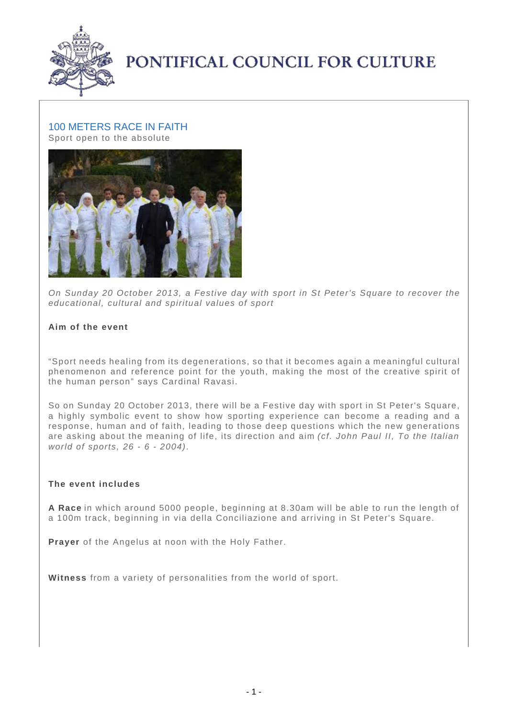

# PONTIFICAL COUNCIL FOR CULTURE

## 100 METERS RACE IN FAITH

Sport open to the absolute



On Sunday 20 October 2013, a Festive day with sport in St Peter's Square to recover the educational, cultural and spiritual values of sport

### **Aim of the event**

"Sport needs healing from its degenerations, so that it becomes again a meaningful cultural phenomenon and reference point for the youth, making the most of the creative spirit of the human person" says Cardinal Ravasi.

So on Sunday 20 October 2013, there will be a Festive day with sport in St Peter's Square, a highly symbolic event to show how sporting experience can become a reading and a response, human and of faith, leading to those deep questions which the new generations are asking about the meaning of life, its direction and aim (cf. John Paul II, To the Italian world of sports, 26 - 6 - 2004).

#### **The event includes**

**A Race** in which around 5000 people, beginning at 8.30am will be able to run the length of a 100m track, beginning in via della Conciliazione and arriving in St Peter's Square.

**Prayer** of the Angelus at noon with the Holy Father.

**Witness** from a variety of personalities from the world of sport.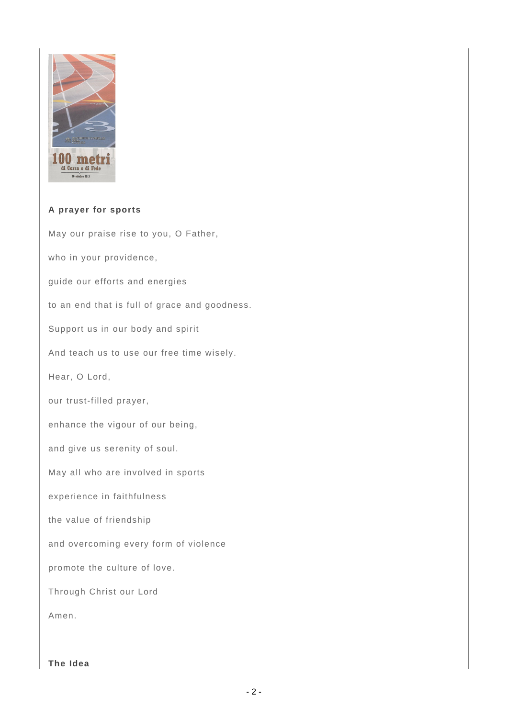

### **A prayer for sports**

May our praise rise to you, O Father, who in your providence, guide our efforts and energies to an end that is full of grace and goodness. Support us in our body and spirit And teach us to use our free time wisely. Hear, O Lord, our trust-filled prayer, enhance the vigour of our being, and give us serenity of soul. May all who are involved in sports experience in faithfulness the value of friendship and overcoming every form of violence promote the culture of love. Through Christ our Lord Amen.

**The Idea**